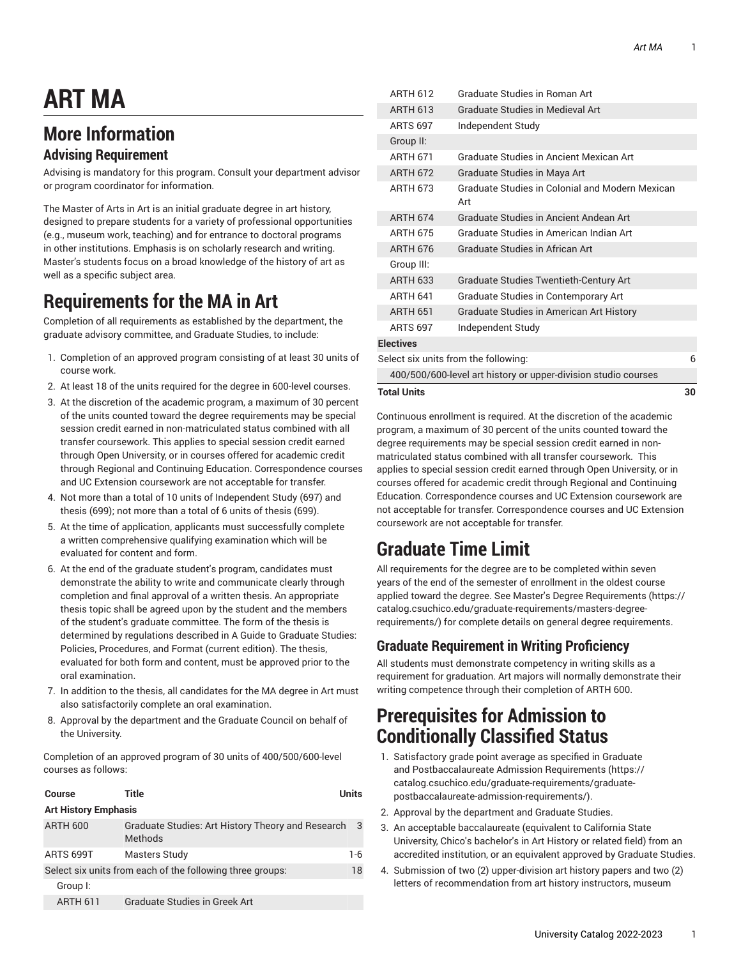# **ART MA**

## **More Information**

#### **Advising Requirement**

Advising is mandatory for this program. Consult your department advisor or program coordinator for information.

The Master of Arts in Art is an initial graduate degree in art history, designed to prepare students for a variety of professional opportunities (e.g., museum work, teaching) and for entrance to doctoral programs in other institutions. Emphasis is on scholarly research and writing. Master's students focus on a broad knowledge of the history of art as well as a specific subject area.

#### **Requirements for the MA in Art**

Completion of all requirements as established by the department, the graduate advisory committee, and Graduate Studies, to include:

- 1. Completion of an approved program consisting of at least 30 units of course work.
- 2. At least 18 of the units required for the degree in 600-level courses.
- 3. At the discretion of the academic program, a maximum of 30 percent of the units counted toward the degree requirements may be special session credit earned in non-matriculated status combined with all transfer coursework. This applies to special session credit earned through Open University, or in courses offered for academic credit through Regional and Continuing Education. Correspondence courses and UC Extension coursework are not acceptable for transfer.
- 4. Not more than a total of 10 units of Independent Study (697) and thesis (699); not more than a total of 6 units of thesis (699).
- 5. At the time of application, applicants must successfully complete a written comprehensive qualifying examination which will be evaluated for content and form.
- 6. At the end of the graduate student's program, candidates must demonstrate the ability to write and communicate clearly through completion and final approval of a written thesis. An appropriate thesis topic shall be agreed upon by the student and the members of the student's graduate committee. The form of the thesis is determined by regulations described in A Guide to Graduate Studies: Policies, Procedures, and Format (current edition). The thesis, evaluated for both form and content, must be approved prior to the oral examination.
- 7. In addition to the thesis, all candidates for the MA degree in Art must also satisfactorily complete an oral examination.
- 8. Approval by the department and the Graduate Council on behalf of the University.

Completion of an approved program of 30 units of 400/500/600-level courses as follows:

| Course                                                    | Title                                                        | <b>Units</b> |  |  |
|-----------------------------------------------------------|--------------------------------------------------------------|--------------|--|--|
| <b>Art History Emphasis</b>                               |                                                              |              |  |  |
| <b>ARTH 600</b>                                           | Graduate Studies: Art History Theory and Research<br>Methods | 3            |  |  |
| ARTS 699T                                                 | Masters Study                                                | 1-6          |  |  |
| Select six units from each of the following three groups: |                                                              |              |  |  |
| Group I:                                                  |                                                              |              |  |  |
| <b>ARTH 611</b>                                           | Graduate Studies in Greek Art                                |              |  |  |

|                                                                | <b>Total Units</b><br>30 |                                                        |  |  |  |
|----------------------------------------------------------------|--------------------------|--------------------------------------------------------|--|--|--|
| 400/500/600-level art history or upper-division studio courses |                          |                                                        |  |  |  |
| Select six units from the following:                           |                          |                                                        |  |  |  |
|                                                                | <b>Electives</b>         |                                                        |  |  |  |
|                                                                | <b>ARTS 697</b>          | Independent Study                                      |  |  |  |
|                                                                | <b>ARTH 651</b>          | Graduate Studies in American Art History               |  |  |  |
|                                                                | <b>ARTH 641</b>          | Graduate Studies in Contemporary Art                   |  |  |  |
|                                                                | <b>ARTH 633</b>          | <b>Graduate Studies Twentieth-Century Art</b>          |  |  |  |
|                                                                | Group III:               |                                                        |  |  |  |
|                                                                | <b>ARTH 676</b>          | Graduate Studies in African Art                        |  |  |  |
|                                                                | <b>ARTH 675</b>          | Graduate Studies in American Indian Art                |  |  |  |
|                                                                | <b>ARTH 674</b>          | Graduate Studies in Ancient Andean Art                 |  |  |  |
|                                                                | <b>ARTH 673</b>          | Graduate Studies in Colonial and Modern Mexican<br>Art |  |  |  |
|                                                                | <b>ARTH 672</b>          | Graduate Studies in Maya Art                           |  |  |  |
|                                                                | <b>ARTH 671</b>          | Graduate Studies in Ancient Mexican Art                |  |  |  |
|                                                                | Group II:                |                                                        |  |  |  |
|                                                                | <b>ARTS 697</b>          | Independent Study                                      |  |  |  |
|                                                                | <b>ARTH 613</b>          | <b>Graduate Studies in Medieval Art</b>                |  |  |  |
|                                                                | <b>ARTH 612</b>          | Graduate Studies in Roman Art                          |  |  |  |

Continuous enrollment is required. At the discretion of the academic program, a maximum of 30 percent of the units counted toward the degree requirements may be special session credit earned in nonmatriculated status combined with all transfer coursework. This applies to special session credit earned through Open University, or in courses offered for academic credit through Regional and Continuing Education. Correspondence courses and UC Extension coursework are not acceptable for transfer. Correspondence courses and UC Extension coursework are not acceptable for transfer.

## **Graduate Time Limit**

All requirements for the degree are to be completed within seven years of the end of the semester of enrollment in the oldest course applied toward the degree. See Master's Degree [Requirements](https://catalog.csuchico.edu/graduate-requirements/masters-degree-requirements/) ([https://](https://catalog.csuchico.edu/graduate-requirements/masters-degree-requirements/) [catalog.csuchico.edu/graduate-requirements/masters-degree](https://catalog.csuchico.edu/graduate-requirements/masters-degree-requirements/)[requirements/](https://catalog.csuchico.edu/graduate-requirements/masters-degree-requirements/)) for complete details on general degree requirements.

#### **Graduate Requirement in Writing Proficiency**

All students must demonstrate competency in writing skills as a requirement for graduation. Art majors will normally demonstrate their writing competence through their completion of ARTH 600.

#### **Prerequisites for Admission to Conditionally Classified Status**

- 1. Satisfactory grade point average as specified in [Graduate](https://catalog.csuchico.edu/graduate-requirements/graduate-postbaccalaureate-admission-requirements/) and [Postbaccalaureate](https://catalog.csuchico.edu/graduate-requirements/graduate-postbaccalaureate-admission-requirements/) Admission Requirements [\(https://](https://catalog.csuchico.edu/graduate-requirements/graduate-postbaccalaureate-admission-requirements/) [catalog.csuchico.edu/graduate-requirements/graduate](https://catalog.csuchico.edu/graduate-requirements/graduate-postbaccalaureate-admission-requirements/)[postbaccalaureate-admission-requirements/](https://catalog.csuchico.edu/graduate-requirements/graduate-postbaccalaureate-admission-requirements/)).
- 2. Approval by the department and Graduate Studies.
- 3. An acceptable baccalaureate (equivalent to California State University, Chico's bachelor's in Art History or related field) from an accredited institution, or an equivalent approved by Graduate Studies.
- 4. Submission of two (2) upper-division art history papers and two (2) letters of recommendation from art history instructors, museum